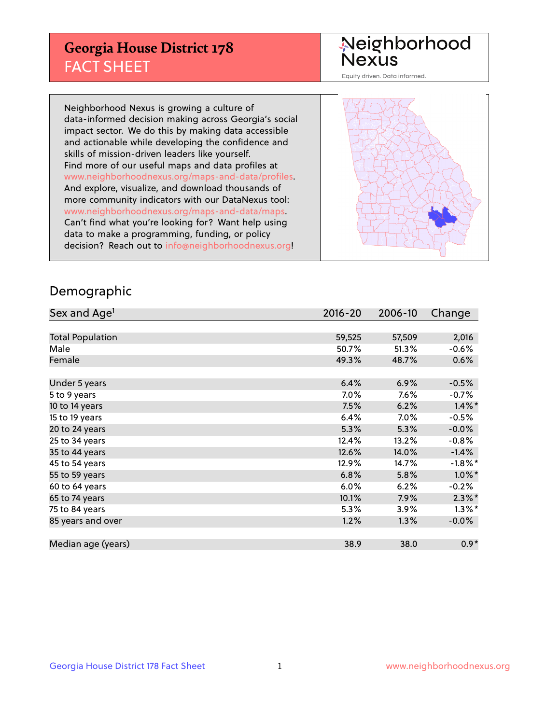## **Georgia House District 178** FACT SHEET

# Neighborhood<br>Nexus

Equity driven. Data informed.

Neighborhood Nexus is growing a culture of data-informed decision making across Georgia's social impact sector. We do this by making data accessible and actionable while developing the confidence and skills of mission-driven leaders like yourself. Find more of our useful maps and data profiles at www.neighborhoodnexus.org/maps-and-data/profiles. And explore, visualize, and download thousands of more community indicators with our DataNexus tool: www.neighborhoodnexus.org/maps-and-data/maps. Can't find what you're looking for? Want help using data to make a programming, funding, or policy decision? Reach out to [info@neighborhoodnexus.org!](mailto:info@neighborhoodnexus.org)



### Demographic

| Sex and Age <sup>1</sup> | 2016-20 | 2006-10 | Change     |
|--------------------------|---------|---------|------------|
|                          |         |         |            |
| <b>Total Population</b>  | 59,525  | 57,509  | 2,016      |
| Male                     | 50.7%   | 51.3%   | $-0.6%$    |
| Female                   | 49.3%   | 48.7%   | 0.6%       |
|                          |         |         |            |
| Under 5 years            | 6.4%    | 6.9%    | $-0.5%$    |
| 5 to 9 years             | $7.0\%$ | $7.6\%$ | $-0.7%$    |
| 10 to 14 years           | 7.5%    | 6.2%    | $1.4\%$ *  |
| 15 to 19 years           | 6.4%    | 7.0%    | $-0.5%$    |
| 20 to 24 years           | 5.3%    | 5.3%    | $-0.0%$    |
| 25 to 34 years           | 12.4%   | 13.2%   | $-0.8%$    |
| 35 to 44 years           | 12.6%   | 14.0%   | $-1.4%$    |
| 45 to 54 years           | 12.9%   | 14.7%   | $-1.8\%$ * |
| 55 to 59 years           | 6.8%    | 5.8%    | $1.0\%$ *  |
| 60 to 64 years           | 6.0%    | 6.2%    | $-0.2%$    |
| 65 to 74 years           | 10.1%   | 7.9%    | $2.3\%$ *  |
| 75 to 84 years           | 5.3%    | 3.9%    | $1.3\%$ *  |
| 85 years and over        | 1.2%    | 1.3%    | $-0.0\%$   |
|                          |         |         |            |
| Median age (years)       | 38.9    | 38.0    | $0.9*$     |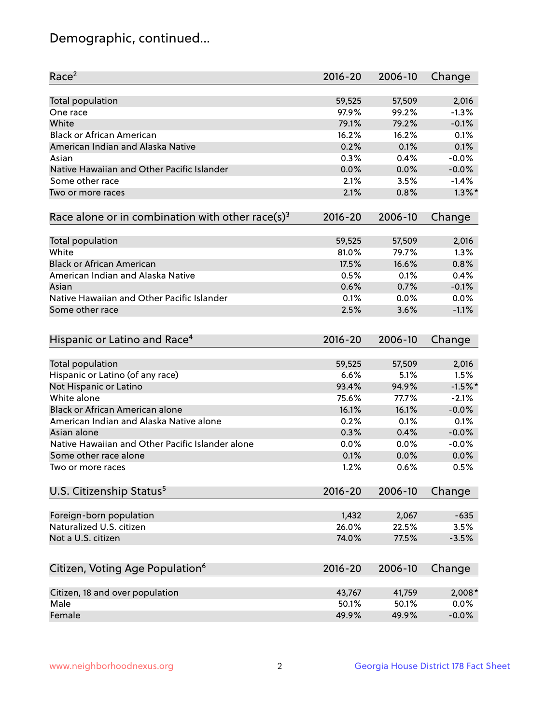## Demographic, continued...

| Race <sup>2</sup>                                            | $2016 - 20$ | 2006-10 | Change    |
|--------------------------------------------------------------|-------------|---------|-----------|
| <b>Total population</b>                                      | 59,525      | 57,509  | 2,016     |
| One race                                                     | 97.9%       | 99.2%   | $-1.3%$   |
| White                                                        | 79.1%       | 79.2%   | $-0.1%$   |
| <b>Black or African American</b>                             | 16.2%       | 16.2%   | 0.1%      |
| American Indian and Alaska Native                            | 0.2%        | 0.1%    | 0.1%      |
| Asian                                                        | 0.3%        | 0.4%    | $-0.0%$   |
| Native Hawaiian and Other Pacific Islander                   | 0.0%        | 0.0%    | $-0.0%$   |
| Some other race                                              | 2.1%        | 3.5%    | $-1.4%$   |
| Two or more races                                            | 2.1%        | 0.8%    | $1.3\%$ * |
| Race alone or in combination with other race(s) <sup>3</sup> | $2016 - 20$ | 2006-10 | Change    |
| <b>Total population</b>                                      | 59,525      | 57,509  | 2,016     |
| White                                                        | 81.0%       | 79.7%   | 1.3%      |
| <b>Black or African American</b>                             | 17.5%       | 16.6%   | 0.8%      |
| American Indian and Alaska Native                            | 0.5%        | 0.1%    | 0.4%      |
| Asian                                                        | 0.6%        | 0.7%    | $-0.1%$   |
| Native Hawaiian and Other Pacific Islander                   | 0.1%        | 0.0%    | 0.0%      |
| Some other race                                              | 2.5%        | 3.6%    | $-1.1%$   |
|                                                              |             |         |           |
| Hispanic or Latino and Race <sup>4</sup>                     | $2016 - 20$ | 2006-10 | Change    |
| <b>Total population</b>                                      | 59,525      | 57,509  | 2,016     |
| Hispanic or Latino (of any race)                             | 6.6%        | 5.1%    | 1.5%      |
| Not Hispanic or Latino                                       | 93.4%       | 94.9%   | $-1.5%$ * |
| White alone                                                  | 75.6%       | 77.7%   | $-2.1%$   |
| <b>Black or African American alone</b>                       | 16.1%       | 16.1%   | $-0.0%$   |
| American Indian and Alaska Native alone                      | 0.2%        | 0.1%    | 0.1%      |
| Asian alone                                                  | 0.3%        | 0.4%    | $-0.0%$   |
| Native Hawaiian and Other Pacific Islander alone             | $0.0\%$     | 0.0%    | $-0.0%$   |
| Some other race alone                                        | 0.1%        | 0.0%    | 0.0%      |
| Two or more races                                            | 1.2%        | 0.6%    | 0.5%      |
| U.S. Citizenship Status <sup>5</sup>                         | $2016 - 20$ | 2006-10 | Change    |
|                                                              |             |         |           |
| Foreign-born population                                      | 1,432       | 2,067   | $-635$    |
| Naturalized U.S. citizen                                     | 26.0%       | 22.5%   | 3.5%      |
| Not a U.S. citizen                                           | 74.0%       | 77.5%   | $-3.5%$   |
|                                                              |             |         |           |
| Citizen, Voting Age Population <sup>6</sup>                  | 2016-20     | 2006-10 | Change    |
| Citizen, 18 and over population                              | 43,767      | 41,759  | 2,008*    |
| Male                                                         | 50.1%       | 50.1%   | 0.0%      |
| Female                                                       | 49.9%       | 49.9%   | $-0.0%$   |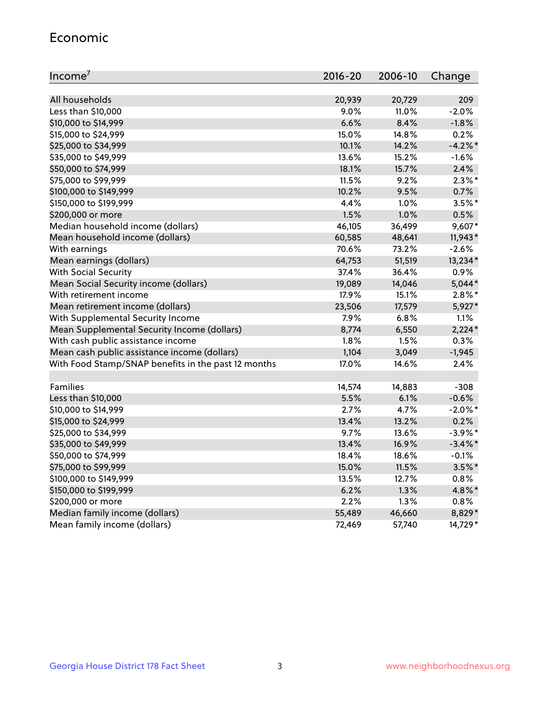#### Economic

| Income <sup>7</sup>                                 | $2016 - 20$ | 2006-10 | Change     |
|-----------------------------------------------------|-------------|---------|------------|
|                                                     |             |         |            |
| All households                                      | 20,939      | 20,729  | 209        |
| Less than \$10,000                                  | 9.0%        | 11.0%   | $-2.0%$    |
| \$10,000 to \$14,999                                | 6.6%        | 8.4%    | $-1.8%$    |
| \$15,000 to \$24,999                                | 15.0%       | 14.8%   | 0.2%       |
| \$25,000 to \$34,999                                | 10.1%       | 14.2%   | $-4.2%$ *  |
| \$35,000 to \$49,999                                | 13.6%       | 15.2%   | $-1.6%$    |
| \$50,000 to \$74,999                                | 18.1%       | 15.7%   | 2.4%       |
| \$75,000 to \$99,999                                | 11.5%       | 9.2%    | $2.3\%$ *  |
| \$100,000 to \$149,999                              | 10.2%       | 9.5%    | 0.7%       |
| \$150,000 to \$199,999                              | 4.4%        | 1.0%    | $3.5%$ *   |
| \$200,000 or more                                   | 1.5%        | 1.0%    | 0.5%       |
| Median household income (dollars)                   | 46,105      | 36,499  | 9,607*     |
| Mean household income (dollars)                     | 60,585      | 48,641  | $11,943*$  |
| With earnings                                       | 70.6%       | 73.2%   | $-2.6%$    |
| Mean earnings (dollars)                             | 64,753      | 51,519  | 13,234*    |
| <b>With Social Security</b>                         | 37.4%       | 36.4%   | 0.9%       |
| Mean Social Security income (dollars)               | 19,089      | 14,046  | $5,044*$   |
| With retirement income                              | 17.9%       | 15.1%   | $2.8\%$ *  |
| Mean retirement income (dollars)                    | 23,506      | 17,579  | 5,927*     |
| With Supplemental Security Income                   | 7.9%        | 6.8%    | 1.1%       |
| Mean Supplemental Security Income (dollars)         | 8,774       | 6,550   | $2,224*$   |
| With cash public assistance income                  | 1.8%        | 1.5%    | 0.3%       |
| Mean cash public assistance income (dollars)        | 1,104       | 3,049   | $-1,945$   |
| With Food Stamp/SNAP benefits in the past 12 months | 17.0%       | 14.6%   | 2.4%       |
|                                                     |             |         |            |
| Families                                            | 14,574      | 14,883  | $-308$     |
| Less than \$10,000                                  | 5.5%        | 6.1%    | $-0.6%$    |
| \$10,000 to \$14,999                                | 2.7%        | 4.7%    | $-2.0\%$ * |
| \$15,000 to \$24,999                                | 13.4%       | 13.2%   | 0.2%       |
| \$25,000 to \$34,999                                | 9.7%        | 13.6%   | $-3.9\%$ * |
| \$35,000 to \$49,999                                | 13.4%       | 16.9%   | $-3.4\%$ * |
| \$50,000 to \$74,999                                | 18.4%       | 18.6%   | $-0.1%$    |
| \$75,000 to \$99,999                                | 15.0%       | 11.5%   | $3.5\%$ *  |
| \$100,000 to \$149,999                              | 13.5%       | 12.7%   | 0.8%       |
| \$150,000 to \$199,999                              | 6.2%        | 1.3%    | 4.8%*      |
| \$200,000 or more                                   | 2.2%        | 1.3%    | 0.8%       |
| Median family income (dollars)                      | 55,489      | 46,660  | 8,829*     |
| Mean family income (dollars)                        | 72,469      | 57,740  | 14,729*    |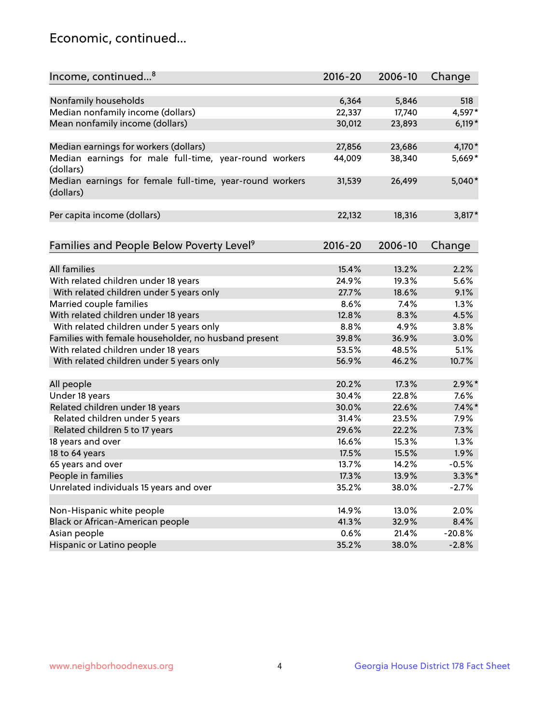## Economic, continued...

| Income, continued <sup>8</sup>                                        | $2016 - 20$ | 2006-10 | Change    |
|-----------------------------------------------------------------------|-------------|---------|-----------|
|                                                                       |             |         |           |
| Nonfamily households                                                  | 6,364       | 5,846   | 518       |
| Median nonfamily income (dollars)                                     | 22,337      | 17,740  | 4,597*    |
| Mean nonfamily income (dollars)                                       | 30,012      | 23,893  | $6,119*$  |
| Median earnings for workers (dollars)                                 | 27,856      | 23,686  | 4,170*    |
| Median earnings for male full-time, year-round workers<br>(dollars)   | 44,009      | 38,340  | 5,669*    |
| Median earnings for female full-time, year-round workers<br>(dollars) | 31,539      | 26,499  | 5,040*    |
| Per capita income (dollars)                                           | 22,132      | 18,316  | 3,817*    |
|                                                                       |             |         |           |
| Families and People Below Poverty Level <sup>9</sup>                  | 2016-20     | 2006-10 | Change    |
| <b>All families</b>                                                   | 15.4%       | 13.2%   | 2.2%      |
| With related children under 18 years                                  | 24.9%       | 19.3%   | 5.6%      |
| With related children under 5 years only                              | 27.7%       | 18.6%   | 9.1%      |
| Married couple families                                               | 8.6%        | 7.4%    | 1.3%      |
| With related children under 18 years                                  | 12.8%       | 8.3%    | 4.5%      |
| With related children under 5 years only                              | 8.8%        | 4.9%    | 3.8%      |
| Families with female householder, no husband present                  | 39.8%       | 36.9%   | 3.0%      |
| With related children under 18 years                                  | 53.5%       | 48.5%   | 5.1%      |
| With related children under 5 years only                              | 56.9%       | 46.2%   | 10.7%     |
| All people                                                            | 20.2%       | 17.3%   | $2.9\%$ * |
| Under 18 years                                                        | 30.4%       | 22.8%   | $7.6\%$   |
| Related children under 18 years                                       | 30.0%       | 22.6%   | $7.4\%$ * |
| Related children under 5 years                                        | 31.4%       | 23.5%   | 7.9%      |
| Related children 5 to 17 years                                        | 29.6%       | 22.2%   | 7.3%      |
| 18 years and over                                                     | 16.6%       | 15.3%   | 1.3%      |
| 18 to 64 years                                                        | 17.5%       | 15.5%   | 1.9%      |
| 65 years and over                                                     | 13.7%       | 14.2%   | $-0.5%$   |
| People in families                                                    | 17.3%       | 13.9%   | $3.3\%$ * |
| Unrelated individuals 15 years and over                               | 35.2%       | 38.0%   | $-2.7%$   |
|                                                                       |             |         |           |
| Non-Hispanic white people                                             | 14.9%       | 13.0%   | 2.0%      |
| Black or African-American people                                      | 41.3%       | 32.9%   | 8.4%      |
| Asian people                                                          | 0.6%        | 21.4%   | $-20.8%$  |
| Hispanic or Latino people                                             | 35.2%       | 38.0%   | $-2.8%$   |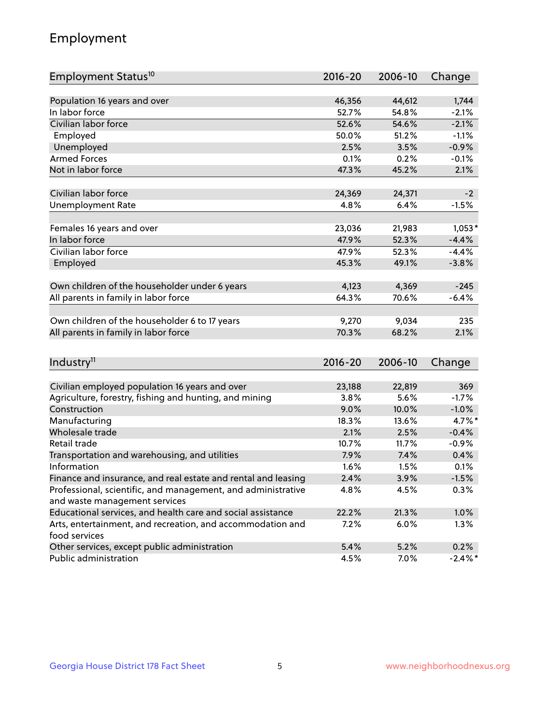## Employment

| Employment Status <sup>10</sup>                                             | 2016-20     | 2006-10 | Change     |
|-----------------------------------------------------------------------------|-------------|---------|------------|
|                                                                             |             |         |            |
| Population 16 years and over                                                | 46,356      | 44,612  | 1,744      |
| In labor force                                                              | 52.7%       | 54.8%   | $-2.1%$    |
| Civilian labor force                                                        | 52.6%       | 54.6%   | $-2.1%$    |
| Employed                                                                    | 50.0%       | 51.2%   | $-1.1%$    |
| Unemployed                                                                  | 2.5%        | 3.5%    | $-0.9%$    |
| <b>Armed Forces</b>                                                         | 0.1%        | 0.2%    | $-0.1%$    |
| Not in labor force                                                          | 47.3%       | 45.2%   | 2.1%       |
|                                                                             |             |         |            |
| Civilian labor force                                                        | 24,369      | 24,371  | $-2$       |
| <b>Unemployment Rate</b>                                                    | 4.8%        | 6.4%    | $-1.5%$    |
| Females 16 years and over                                                   | 23,036      | 21,983  | $1,053*$   |
| In labor force                                                              | 47.9%       | 52.3%   | $-4.4%$    |
| Civilian labor force                                                        | 47.9%       | 52.3%   | $-4.4%$    |
| Employed                                                                    | 45.3%       | 49.1%   | $-3.8%$    |
|                                                                             |             |         |            |
| Own children of the householder under 6 years                               | 4,123       | 4,369   | $-245$     |
| All parents in family in labor force                                        | 64.3%       | 70.6%   | $-6.4%$    |
|                                                                             |             |         |            |
| Own children of the householder 6 to 17 years                               | 9,270       | 9,034   | 235        |
| All parents in family in labor force                                        | 70.3%       | 68.2%   | 2.1%       |
|                                                                             |             |         |            |
| Industry <sup>11</sup>                                                      | $2016 - 20$ | 2006-10 | Change     |
|                                                                             |             |         |            |
| Civilian employed population 16 years and over                              | 23,188      | 22,819  | 369        |
| Agriculture, forestry, fishing and hunting, and mining                      | 3.8%        | 5.6%    | $-1.7%$    |
| Construction                                                                | 9.0%        | 10.0%   | $-1.0%$    |
| Manufacturing                                                               | 18.3%       | 13.6%   | 4.7%*      |
| Wholesale trade                                                             | 2.1%        | 2.5%    | $-0.4%$    |
| Retail trade                                                                | 10.7%       | 11.7%   | $-0.9%$    |
| Transportation and warehousing, and utilities                               | 7.9%        | 7.4%    | 0.4%       |
| Information                                                                 | 1.6%        | 1.5%    | 0.1%       |
| Finance and insurance, and real estate and rental and leasing               | 2.4%        | 3.9%    | $-1.5%$    |
| Professional, scientific, and management, and administrative                | 4.8%        | 4.5%    | 0.3%       |
| and waste management services                                               |             |         |            |
| Educational services, and health care and social assistance                 | 22.2%       | 21.3%   | 1.0%       |
| Arts, entertainment, and recreation, and accommodation and<br>food services | 7.2%        | 6.0%    | 1.3%       |
| Other services, except public administration                                | 5.4%        | 5.2%    | 0.2%       |
| Public administration                                                       | 4.5%        | 7.0%    | $-2.4\%$ * |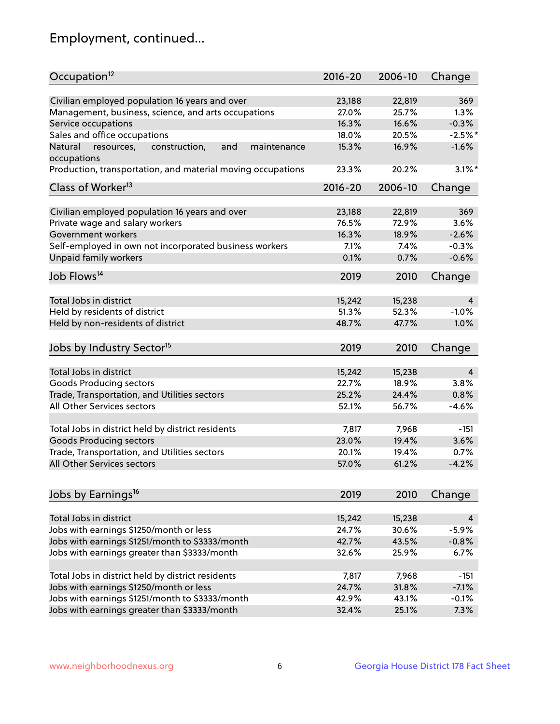## Employment, continued...

| Occupation <sup>12</sup>                                     | $2016 - 20$ | 2006-10 | Change    |
|--------------------------------------------------------------|-------------|---------|-----------|
| Civilian employed population 16 years and over               | 23,188      | 22,819  | 369       |
| Management, business, science, and arts occupations          | 27.0%       | 25.7%   | 1.3%      |
| Service occupations                                          | 16.3%       | 16.6%   | $-0.3%$   |
| Sales and office occupations                                 | 18.0%       | 20.5%   | $-2.5%$ * |
| Natural<br>and<br>resources,<br>construction,<br>maintenance | 15.3%       | 16.9%   | $-1.6%$   |
| occupations                                                  |             |         |           |
| Production, transportation, and material moving occupations  | 23.3%       | 20.2%   | $3.1\%$ * |
| Class of Worker <sup>13</sup>                                | $2016 - 20$ | 2006-10 | Change    |
|                                                              |             |         |           |
| Civilian employed population 16 years and over               | 23,188      | 22,819  | 369       |
| Private wage and salary workers                              | 76.5%       | 72.9%   | 3.6%      |
| Government workers                                           | 16.3%       | 18.9%   | $-2.6%$   |
| Self-employed in own not incorporated business workers       | 7.1%        | 7.4%    | $-0.3%$   |
| Unpaid family workers                                        | 0.1%        | 0.7%    | $-0.6%$   |
| Job Flows <sup>14</sup>                                      | 2019        | 2010    | Change    |
| Total Jobs in district                                       |             |         |           |
|                                                              | 15,242      | 15,238  | 4         |
| Held by residents of district                                | 51.3%       | 52.3%   | $-1.0%$   |
| Held by non-residents of district                            | 48.7%       | 47.7%   | 1.0%      |
| Jobs by Industry Sector <sup>15</sup>                        | 2019        | 2010    | Change    |
| Total Jobs in district                                       | 15,242      | 15,238  | 4         |
| Goods Producing sectors                                      | 22.7%       | 18.9%   | 3.8%      |
| Trade, Transportation, and Utilities sectors                 | 25.2%       | 24.4%   | 0.8%      |
| All Other Services sectors                                   | 52.1%       | 56.7%   | $-4.6%$   |
|                                                              |             |         |           |
| Total Jobs in district held by district residents            | 7,817       | 7,968   | $-151$    |
| <b>Goods Producing sectors</b>                               | 23.0%       | 19.4%   | 3.6%      |
| Trade, Transportation, and Utilities sectors                 | 20.1%       | 19.4%   | 0.7%      |
| All Other Services sectors                                   | 57.0%       | 61.2%   | $-4.2%$   |
|                                                              |             |         |           |
| Jobs by Earnings <sup>16</sup>                               | 2019        | 2010    | Change    |
| Total Jobs in district                                       | 15,242      | 15,238  | 4         |
| Jobs with earnings \$1250/month or less                      | 24.7%       | 30.6%   | $-5.9%$   |
| Jobs with earnings \$1251/month to \$3333/month              | 42.7%       | 43.5%   | $-0.8%$   |
| Jobs with earnings greater than \$3333/month                 | 32.6%       | 25.9%   | 6.7%      |
|                                                              |             |         |           |
| Total Jobs in district held by district residents            | 7,817       | 7,968   | $-151$    |
| Jobs with earnings \$1250/month or less                      | 24.7%       | 31.8%   | $-7.1%$   |
| Jobs with earnings \$1251/month to \$3333/month              | 42.9%       | 43.1%   | $-0.1%$   |
| Jobs with earnings greater than \$3333/month                 | 32.4%       | 25.1%   | 7.3%      |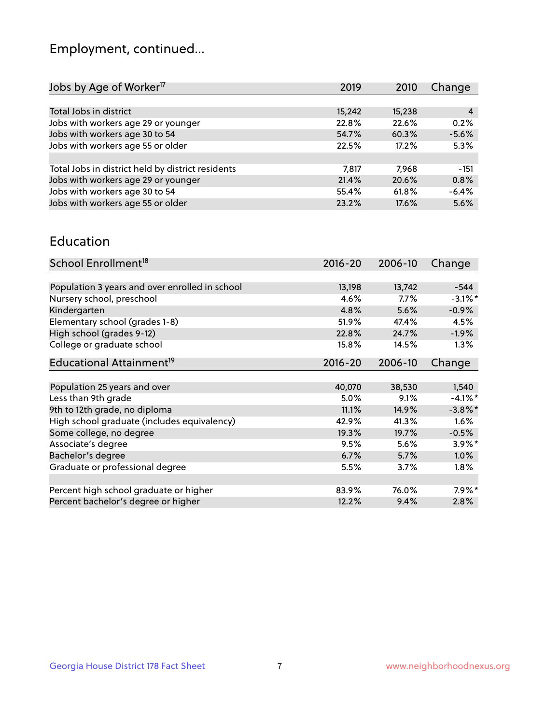## Employment, continued...

| 2019   | 2010   | Change  |
|--------|--------|---------|
|        |        |         |
| 15,242 | 15,238 | 4       |
| 22.8%  | 22.6%  | 0.2%    |
| 54.7%  | 60.3%  | $-5.6%$ |
| 22.5%  | 17.2%  | 5.3%    |
|        |        |         |
| 7,817  | 7.968  | $-151$  |
| 21.4%  | 20.6%  | 0.8%    |
| 55.4%  | 61.8%  | $-6.4%$ |
| 23.2%  | 17.6%  | 5.6%    |
|        |        |         |

#### Education

| School Enrollment <sup>18</sup>                | $2016 - 20$ | 2006-10 | Change     |
|------------------------------------------------|-------------|---------|------------|
|                                                |             |         |            |
| Population 3 years and over enrolled in school | 13,198      | 13,742  | $-544$     |
| Nursery school, preschool                      | 4.6%        | $7.7\%$ | $-3.1\%$ * |
| Kindergarten                                   | 4.8%        | 5.6%    | $-0.9%$    |
| Elementary school (grades 1-8)                 | 51.9%       | 47.4%   | 4.5%       |
| High school (grades 9-12)                      | 22.8%       | 24.7%   | $-1.9%$    |
| College or graduate school                     | 15.8%       | 14.5%   | 1.3%       |
| Educational Attainment <sup>19</sup>           | $2016 - 20$ | 2006-10 | Change     |
|                                                |             |         |            |
| Population 25 years and over                   | 40,070      | 38,530  | 1,540      |
| Less than 9th grade                            | 5.0%        | 9.1%    | $-4.1\%$ * |
| 9th to 12th grade, no diploma                  | 11.1%       | 14.9%   | $-3.8\%$ * |
| High school graduate (includes equivalency)    | 42.9%       | 41.3%   | 1.6%       |
| Some college, no degree                        | 19.3%       | 19.7%   | $-0.5%$    |
| Associate's degree                             | 9.5%        | 5.6%    | $3.9\%$ *  |
| Bachelor's degree                              | 6.7%        | 5.7%    | 1.0%       |
| Graduate or professional degree                | 5.5%        | 3.7%    | $1.8\%$    |
|                                                |             |         |            |
| Percent high school graduate or higher         | 83.9%       | 76.0%   | $7.9\%$ *  |
| Percent bachelor's degree or higher            | 12.2%       | 9.4%    | 2.8%       |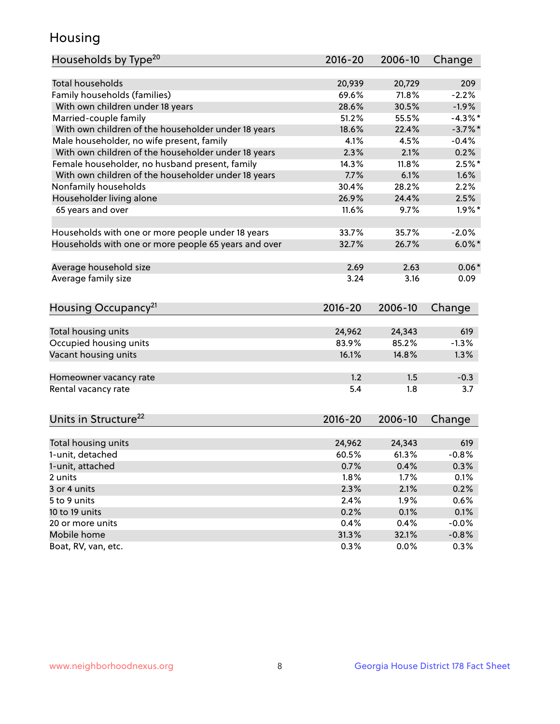## Housing

| Households by Type <sup>20</sup>                     | 2016-20 | 2006-10 | Change     |
|------------------------------------------------------|---------|---------|------------|
|                                                      |         |         |            |
| <b>Total households</b>                              | 20,939  | 20,729  | 209        |
| Family households (families)                         | 69.6%   | 71.8%   | $-2.2%$    |
| With own children under 18 years                     | 28.6%   | 30.5%   | $-1.9%$    |
| Married-couple family                                | 51.2%   | 55.5%   | $-4.3\%$ * |
| With own children of the householder under 18 years  | 18.6%   | 22.4%   | $-3.7\%$ * |
| Male householder, no wife present, family            | 4.1%    | 4.5%    | $-0.4%$    |
| With own children of the householder under 18 years  | 2.3%    | 2.1%    | 0.2%       |
| Female householder, no husband present, family       | 14.3%   | 11.8%   | $2.5%$ *   |
| With own children of the householder under 18 years  | 7.7%    | 6.1%    | 1.6%       |
| Nonfamily households                                 | 30.4%   | 28.2%   | 2.2%       |
| Householder living alone                             | 26.9%   | 24.4%   | 2.5%       |
| 65 years and over                                    | 11.6%   | 9.7%    | $1.9\%$ *  |
|                                                      |         |         |            |
| Households with one or more people under 18 years    | 33.7%   | 35.7%   | $-2.0%$    |
| Households with one or more people 65 years and over | 32.7%   | 26.7%   | $6.0\%$ *  |
|                                                      |         |         |            |
| Average household size                               | 2.69    | 2.63    | $0.06*$    |
| Average family size                                  | 3.24    | 3.16    | 0.09       |
|                                                      |         |         |            |
| Housing Occupancy <sup>21</sup>                      | 2016-20 | 2006-10 | Change     |
|                                                      |         |         |            |
| Total housing units                                  | 24,962  | 24,343  | 619        |
| Occupied housing units                               | 83.9%   | 85.2%   | $-1.3%$    |
| Vacant housing units                                 | 16.1%   | 14.8%   | 1.3%       |
|                                                      |         |         |            |
| Homeowner vacancy rate                               | 1.2     | 1.5     | $-0.3$     |
| Rental vacancy rate                                  | 5.4     | 1.8     | 3.7        |
|                                                      |         |         |            |
|                                                      |         |         |            |
| Units in Structure <sup>22</sup>                     | 2016-20 | 2006-10 | Change     |
| Total housing units                                  | 24,962  | 24,343  | 619        |
| 1-unit, detached                                     | 60.5%   | 61.3%   | $-0.8%$    |
|                                                      |         |         |            |
| 1-unit, attached                                     | 0.7%    | 0.4%    | 0.3%       |
| 2 units                                              | 1.8%    | 1.7%    | 0.1%       |
| 3 or 4 units                                         | 2.3%    | 2.1%    | 0.2%       |
| 5 to 9 units                                         | 2.4%    | 1.9%    | 0.6%       |
| 10 to 19 units                                       | 0.2%    | 0.1%    | 0.1%       |
| 20 or more units                                     | 0.4%    | 0.4%    | $-0.0%$    |
| Mobile home                                          | 31.3%   | 32.1%   | $-0.8%$    |
| Boat, RV, van, etc.                                  | 0.3%    | $0.0\%$ | 0.3%       |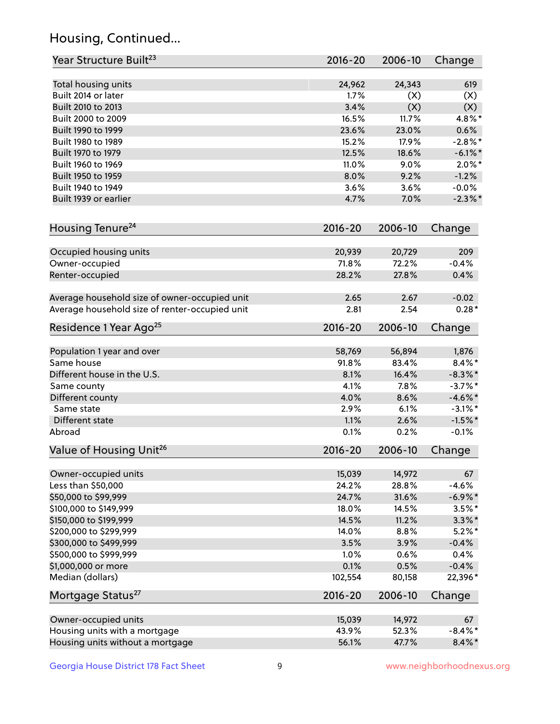## Housing, Continued...

| Year Structure Built <sup>23</sup>             | 2016-20     | 2006-10 | Change     |
|------------------------------------------------|-------------|---------|------------|
| Total housing units                            | 24,962      | 24,343  | 619        |
| Built 2014 or later                            | 1.7%        | (X)     | (X)        |
| Built 2010 to 2013                             | 3.4%        | (X)     | (X)        |
| Built 2000 to 2009                             | 16.5%       | 11.7%   | $4.8\%$ *  |
| Built 1990 to 1999                             | 23.6%       | 23.0%   | 0.6%       |
| Built 1980 to 1989                             | 15.2%       | 17.9%   | $-2.8\%$ * |
| Built 1970 to 1979                             | 12.5%       | 18.6%   | $-6.1\%$ * |
| Built 1960 to 1969                             | 11.0%       | 9.0%    | $2.0\%$ *  |
| Built 1950 to 1959                             | 8.0%        | 9.2%    | $-1.2%$    |
| Built 1940 to 1949                             | 3.6%        | 3.6%    | $-0.0%$    |
| Built 1939 or earlier                          | 4.7%        | 7.0%    | $-2.3\%$ * |
| Housing Tenure <sup>24</sup>                   | $2016 - 20$ | 2006-10 | Change     |
| Occupied housing units                         | 20,939      | 20,729  | 209        |
| Owner-occupied                                 | 71.8%       | 72.2%   | $-0.4%$    |
| Renter-occupied                                | 28.2%       | 27.8%   | 0.4%       |
| Average household size of owner-occupied unit  | 2.65        | 2.67    | $-0.02$    |
| Average household size of renter-occupied unit | 2.81        | 2.54    | $0.28*$    |
| Residence 1 Year Ago <sup>25</sup>             | $2016 - 20$ | 2006-10 | Change     |
| Population 1 year and over                     | 58,769      | 56,894  | 1,876      |
| Same house                                     | 91.8%       | 83.4%   | $8.4\%$ *  |
| Different house in the U.S.                    | 8.1%        | 16.4%   | $-8.3\%$ * |
| Same county                                    | 4.1%        | 7.8%    | $-3.7\%$ * |
| Different county                               | 4.0%        | 8.6%    | $-4.6\%$ * |
| Same state                                     | 2.9%        | 6.1%    | $-3.1\%$ * |
| Different state                                | 1.1%        | 2.6%    | $-1.5%$ *  |
| Abroad                                         | 0.1%        | 0.2%    | $-0.1%$    |
| Value of Housing Unit <sup>26</sup>            | $2016 - 20$ | 2006-10 | Change     |
| Owner-occupied units                           | 15,039      | 14,972  | 67         |
| Less than \$50,000                             | 24.2%       | 28.8%   | $-4.6%$    |
| \$50,000 to \$99,999                           | 24.7%       | 31.6%   | $-6.9\%$ * |
| \$100,000 to \$149,999                         | 18.0%       | 14.5%   | $3.5\%$ *  |
| \$150,000 to \$199,999                         | 14.5%       | 11.2%   | $3.3\%$ *  |
| \$200,000 to \$299,999                         | 14.0%       | 8.8%    | $5.2\%$ *  |
| \$300,000 to \$499,999                         | 3.5%        | 3.9%    | $-0.4%$    |
| \$500,000 to \$999,999                         | 1.0%        | 0.6%    | 0.4%       |
| \$1,000,000 or more                            | 0.1%        | 0.5%    | $-0.4%$    |
| Median (dollars)                               | 102,554     | 80,158  | 22,396*    |
| Mortgage Status <sup>27</sup>                  | $2016 - 20$ | 2006-10 | Change     |
| Owner-occupied units                           | 15,039      | 14,972  | 67         |
| Housing units with a mortgage                  | 43.9%       | 52.3%   | $-8.4\%$ * |
| Housing units without a mortgage               | 56.1%       | 47.7%   | $8.4\% *$  |
|                                                |             |         |            |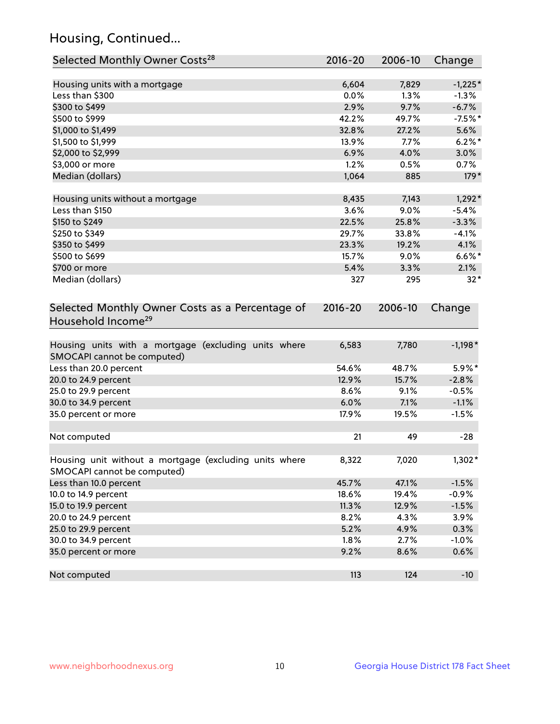## Housing, Continued...

| Selected Monthly Owner Costs <sup>28</sup>                                            | $2016 - 20$ | 2006-10 | Change    |
|---------------------------------------------------------------------------------------|-------------|---------|-----------|
| Housing units with a mortgage                                                         | 6,604       | 7,829   | $-1,225*$ |
| Less than \$300                                                                       | 0.0%        | 1.3%    | $-1.3%$   |
| \$300 to \$499                                                                        | 2.9%        | 9.7%    | $-6.7%$   |
| \$500 to \$999                                                                        | 42.2%       | 49.7%   | $-7.5%$ * |
| \$1,000 to \$1,499                                                                    | 32.8%       | 27.2%   | 5.6%      |
| \$1,500 to \$1,999                                                                    | 13.9%       | 7.7%    | $6.2\%$ * |
| \$2,000 to \$2,999                                                                    | 6.9%        | 4.0%    | 3.0%      |
| \$3,000 or more                                                                       | 1.2%        | 0.5%    | 0.7%      |
| Median (dollars)                                                                      | 1,064       | 885     | $179*$    |
| Housing units without a mortgage                                                      | 8,435       | 7,143   | $1,292*$  |
| Less than \$150                                                                       | 3.6%        | 9.0%    | $-5.4%$   |
| \$150 to \$249                                                                        | 22.5%       | 25.8%   | $-3.3%$   |
| \$250 to \$349                                                                        | 29.7%       | 33.8%   | $-4.1%$   |
| \$350 to \$499                                                                        | 23.3%       | 19.2%   | 4.1%      |
| \$500 to \$699                                                                        | 15.7%       | 9.0%    | $6.6\%$ * |
| \$700 or more                                                                         | 5.4%        | 3.3%    | 2.1%      |
| Median (dollars)                                                                      | 327         | 295     | $32*$     |
| Selected Monthly Owner Costs as a Percentage of<br>Household Income <sup>29</sup>     | $2016 - 20$ | 2006-10 | Change    |
| Housing units with a mortgage (excluding units where<br>SMOCAPI cannot be computed)   | 6,583       | 7,780   | $-1,198*$ |
| Less than 20.0 percent                                                                | 54.6%       | 48.7%   | 5.9%*     |
| 20.0 to 24.9 percent                                                                  | 12.9%       | 15.7%   | $-2.8%$   |
| 25.0 to 29.9 percent                                                                  | 8.6%        | 9.1%    | $-0.5%$   |
| 30.0 to 34.9 percent                                                                  | 6.0%        | 7.1%    | $-1.1%$   |
| 35.0 percent or more                                                                  | 17.9%       | 19.5%   | $-1.5%$   |
| Not computed                                                                          | 21          | 49      | -28       |
| Housing unit without a mortgage (excluding units where<br>SMOCAPI cannot be computed) | 8,322       | 7,020   | $1,302*$  |
| Less than 10.0 percent                                                                | 45.7%       | 47.1%   | $-1.5%$   |
| 10.0 to 14.9 percent                                                                  | 18.6%       | 19.4%   | $-0.9%$   |
| 15.0 to 19.9 percent                                                                  | 11.3%       | 12.9%   | $-1.5%$   |
| 20.0 to 24.9 percent                                                                  | 8.2%        | 4.3%    | 3.9%      |
| 25.0 to 29.9 percent                                                                  | 5.2%        | 4.9%    | 0.3%      |
| 30.0 to 34.9 percent                                                                  | 1.8%        | 2.7%    | $-1.0%$   |
| 35.0 percent or more                                                                  | 9.2%        | 8.6%    | 0.6%      |
| Not computed                                                                          | 113         | 124     | $-10$     |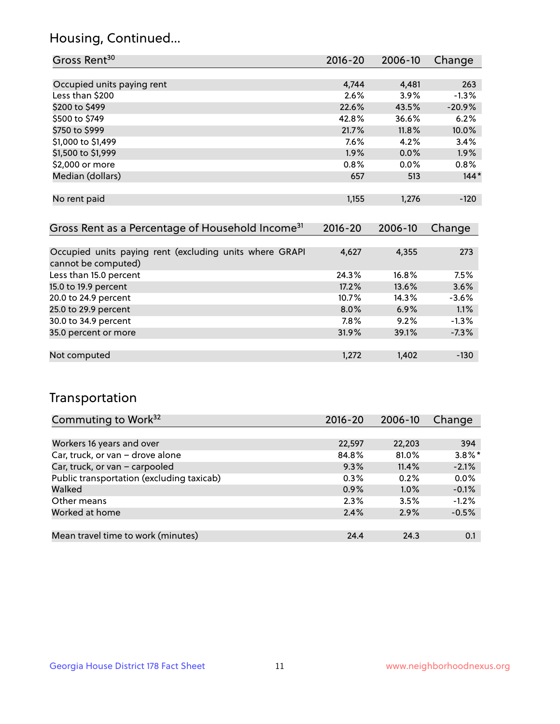## Housing, Continued...

| Gross Rent <sup>30</sup>                                     | 2016-20     | 2006-10 | Change   |
|--------------------------------------------------------------|-------------|---------|----------|
|                                                              |             |         |          |
| Occupied units paying rent                                   | 4,744       | 4,481   | 263      |
| Less than \$200                                              | 2.6%        | $3.9\%$ | $-1.3%$  |
| \$200 to \$499                                               | 22.6%       | 43.5%   | $-20.9%$ |
| \$500 to \$749                                               | 42.8%       | 36.6%   | 6.2%     |
| \$750 to \$999                                               | 21.7%       | 11.8%   | 10.0%    |
| \$1,000 to \$1,499                                           | $7.6\%$     | 4.2%    | 3.4%     |
| \$1,500 to \$1,999                                           | $1.9\%$     | $0.0\%$ | $1.9\%$  |
| \$2,000 or more                                              | $0.8\%$     | $0.0\%$ | $0.8\%$  |
| Median (dollars)                                             | 657         | 513     | $144*$   |
|                                                              |             |         |          |
| No rent paid                                                 | 1,155       | 1,276   | $-120$   |
|                                                              |             |         |          |
| Gross Rent as a Percentage of Household Income <sup>31</sup> | $2016 - 20$ | 2006-10 | Change   |
|                                                              |             |         |          |
| Occupied units paying rent (excluding units where GRAPI      | 4,627       | 4,355   | 273      |
| cannot be computed)                                          |             |         |          |
| Less than 15.0 percent                                       | 24.3%       | 16.8%   | 7.5%     |
| 15.0 to 19.9 percent                                         | 17.2%       | 13.6%   | 3.6%     |
| 20.0 to 24.9 percent                                         | 10.7%       | 14.3%   | $-3.6%$  |

| 15.0 to 19.9 percent | 17.2%   | 13.6% | 3.6%    |
|----------------------|---------|-------|---------|
| 20.0 to 24.9 percent | 10.7%   | 14.3% | $-3.6%$ |
| 25.0 to 29.9 percent | $8.0\%$ | 6.9%  | 1.1%    |
| 30.0 to 34.9 percent | 7.8%    | 9.2%  | $-1.3%$ |
| 35.0 percent or more | 31.9%   | 39.1% | $-7.3%$ |
|                      |         |       |         |
| Not computed         | 1,272   | 1,402 | -130    |
|                      |         |       |         |

## Transportation

| Commuting to Work <sup>32</sup>           | 2016-20 | 2006-10 | Change    |
|-------------------------------------------|---------|---------|-----------|
|                                           |         |         |           |
| Workers 16 years and over                 | 22,597  | 22,203  | 394       |
| Car, truck, or van - drove alone          | 84.8%   | 81.0%   | $3.8\%$ * |
| Car, truck, or van - carpooled            | 9.3%    | 11.4%   | $-2.1%$   |
| Public transportation (excluding taxicab) | 0.3%    | 0.2%    | 0.0%      |
| Walked                                    | 0.9%    | 1.0%    | $-0.1%$   |
| Other means                               | 2.3%    | 3.5%    | $-1.2%$   |
| Worked at home                            | 2.4%    | 2.9%    | $-0.5%$   |
|                                           |         |         |           |
| Mean travel time to work (minutes)        | 24.4    | 24.3    | 0.1       |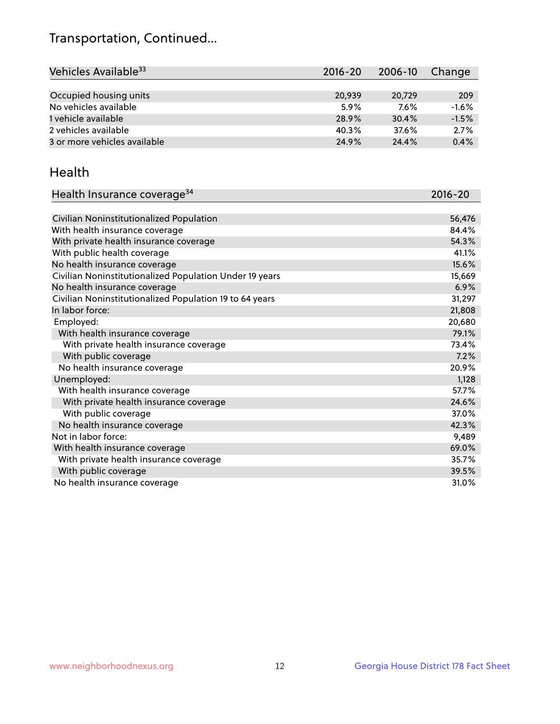## Transportation, Continued...

| Vehicles Available <sup>33</sup> | 2016-20 | 2006-10 | Change  |
|----------------------------------|---------|---------|---------|
|                                  |         |         |         |
| Occupied housing units           | 20.939  | 20,729  | 209     |
| No vehicles available            | 5.9%    | 7.6%    | $-1.6%$ |
| 1 vehicle available              | 28.9%   | 30.4%   | $-1.5%$ |
| 2 vehicles available             | 40.3%   | 37.6%   | 2.7%    |
| 3 or more vehicles available     | 24.9%   | 24.4%   | 0.4%    |

#### Health

| Health Insurance coverage <sup>34</sup>                 | 2016-20 |
|---------------------------------------------------------|---------|
|                                                         |         |
| Civilian Noninstitutionalized Population                | 56,476  |
| With health insurance coverage                          | 84.4%   |
| With private health insurance coverage                  | 54.3%   |
| With public health coverage                             | 41.1%   |
| No health insurance coverage                            | 15.6%   |
| Civilian Noninstitutionalized Population Under 19 years | 15,669  |
| No health insurance coverage                            | 6.9%    |
| Civilian Noninstitutionalized Population 19 to 64 years | 31,297  |
| In labor force:                                         | 21,808  |
| Employed:                                               | 20,680  |
| With health insurance coverage                          | 79.1%   |
| With private health insurance coverage                  | 73.4%   |
| With public coverage                                    | 7.2%    |
| No health insurance coverage                            | 20.9%   |
| Unemployed:                                             | 1,128   |
| With health insurance coverage                          | 57.7%   |
| With private health insurance coverage                  | 24.6%   |
| With public coverage                                    | 37.0%   |
| No health insurance coverage                            | 42.3%   |
| Not in labor force:                                     | 9,489   |
| With health insurance coverage                          | 69.0%   |
| With private health insurance coverage                  | 35.7%   |
| With public coverage                                    | 39.5%   |
| No health insurance coverage                            | 31.0%   |